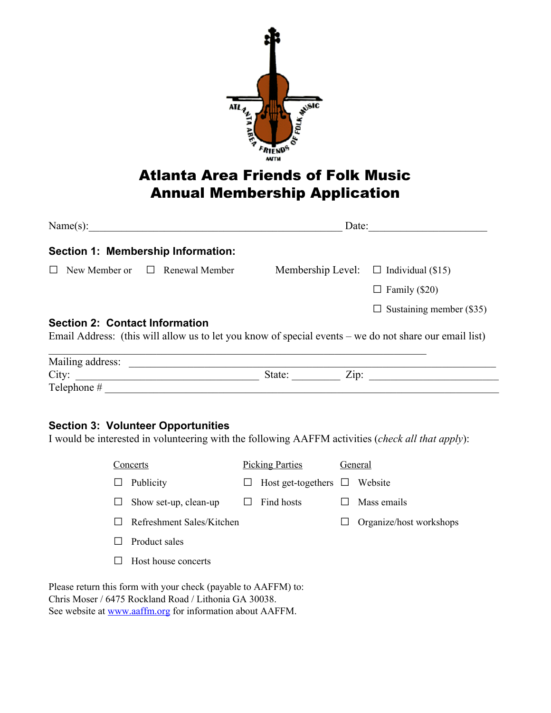

## Atlanta Area Friends of Folk Music Annual Membership Application

|                                       | Name(s):                            | Date:  |                                                                                                        |  |
|---------------------------------------|-------------------------------------|--------|--------------------------------------------------------------------------------------------------------|--|
|                                       | Section 1: Membership Information:  |        |                                                                                                        |  |
|                                       | New Member or $\Box$ Renewal Member |        | Membership Level: $\Box$ Individual (\$15)                                                             |  |
|                                       |                                     |        | $\Box$ Family (\$20)                                                                                   |  |
|                                       |                                     |        | $\Box$ Sustaining member (\$35)                                                                        |  |
| <b>Section 2: Contact Information</b> |                                     |        | Email Address: (this will allow us to let you know of special events – we do not share our email list) |  |
|                                       |                                     |        |                                                                                                        |  |
|                                       | City:                               | State: | $\mathbf{Zip: }$                                                                                       |  |
|                                       |                                     |        |                                                                                                        |  |
|                                       |                                     |        |                                                                                                        |  |

## **Section 3: Volunteer Opportunities**

I would be interested in volunteering with the following AAFFM activities (*check all that apply*):

| Concerts                                                       |                           | <b>Picking Parties</b> |                           | General |                         |  |  |
|----------------------------------------------------------------|---------------------------|------------------------|---------------------------|---------|-------------------------|--|--|
| ⊔                                                              | Publicity                 | ப                      | Host get-togethers $\Box$ |         | Website                 |  |  |
| ப                                                              | Show set-up, clean-up     |                        | Find hosts                |         | Mass emails             |  |  |
|                                                                | Refreshment Sales/Kitchen |                        |                           |         | Organize/host workshops |  |  |
|                                                                | Product sales             |                        |                           |         |                         |  |  |
|                                                                | Host house concerts       |                        |                           |         |                         |  |  |
| Please return this form with your check (payable to AAFFM) to: |                           |                        |                           |         |                         |  |  |

Please return this form with your check (paya Chris Moser / 6475 Rockland Road / Lithonia GA 30038. See website at **www.aaffm.org** for information about AAFFM.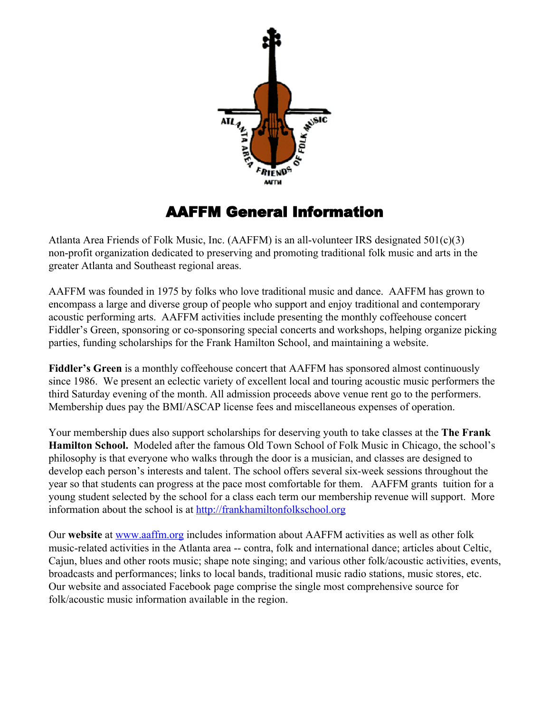

## AAFFM General Information

Atlanta Area Friends of Folk Music, Inc. (AAFFM) is an all-volunteer IRS designated  $501(c)(3)$ non-profit organization dedicated to preserving and promoting traditional folk music and arts in the greater Atlanta and Southeast regional areas.

AAFFM was founded in 1975 by folks who love traditional music and dance. AAFFM has grown to encompass a large and diverse group of people who support and enjoy traditional and contemporary acoustic performing arts. AAFFM activities include presenting the monthly coffeehouse concert Fiddler's Green, sponsoring or co-sponsoring special concerts and workshops, helping organize picking parties, funding scholarships for the Frank Hamilton School, and maintaining a website.

**Fiddler's Green** is a monthly coffeehouse concert that AAFFM has sponsored almost continuously since 1986. We present an eclectic variety of excellent local and touring acoustic music performers the third Saturday evening of the month. All admission proceeds above venue rent go to the performers. Membership dues pay the BMI/ASCAP license fees and miscellaneous expenses of operation.

Your membership dues also support scholarships for deserving youth to take classes at the **The Frank Hamilton School.**  Modeled after the famous Old Town School of Folk Music in Chicago, the school's philosophy is that everyone who walks through the door is a musician, and classes are designed to develop each person's interests and talent. The school offers several six-week sessions throughout the year so that students can progress at the pace most comfortable for them. AAFFM grants tuition for a young student selected by the school for a class each term our membership revenue will support. More information about the school is at [http://frankhamiltonfolkschool.org](http://frankhamiltonfolkschool.org/)

Our **website** at [www.aaffm.org](http://www.aaffm.org/) includes information about AAFFM activities as well as other folk music-related activities in the Atlanta area -- contra, folk and international dance; articles about Celtic, Cajun, blues and other roots music; shape note singing; and various other folk/acoustic activities, events, broadcasts and performances; links to local bands, traditional music radio stations, music stores, etc. Our website and associated Facebook page comprise the single most comprehensive source for folk/acoustic music information available in the region.